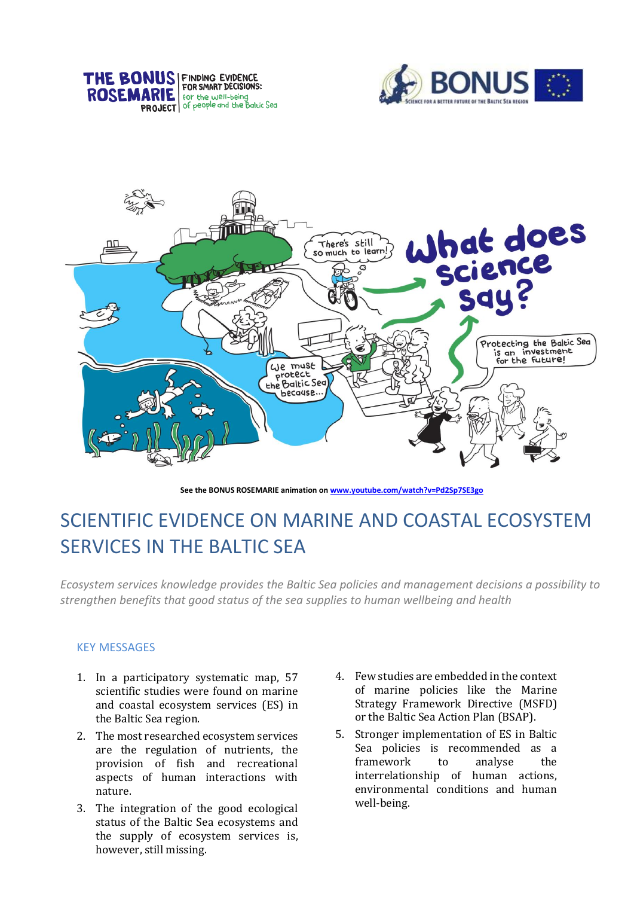





**See the BONUS ROSEMARIE animation o[n www.youtube.com/watch?v=Pd2Sp7SE3go](http://www.youtube.com/watch?v=Pd2Sp7SE3go)**

# SCIENTIFIC EVIDENCE ON MARINE AND COASTAL ECOSYSTEM SERVICES IN THE BALTIC SEA

*Ecosystem services knowledge provides the Baltic Sea policies and management decisions a possibility to strengthen benefits that good status of the sea supplies to human wellbeing and health*

## KEY MESSAGES

- 1. In a participatory systematic map, 57 scientific studies were found on marine and coastal ecosystem services (ES) in the Baltic Sea region.
- 2. The most researched ecosystem services are the regulation of nutrients, the provision of fish and recreational aspects of human interactions with nature.
- 3. The integration of the good ecological status of the Baltic Sea ecosystems and the supply of ecosystem services is, however, still missing.
- 4. Few studies are embedded in the context of marine policies like the Marine Strategy Framework Directive (MSFD) or the Baltic Sea Action Plan (BSAP).
- 5. Stronger implementation of ES in Baltic Sea policies is recommended as a framework to analyse the interrelationship of human actions, environmental conditions and human well-being.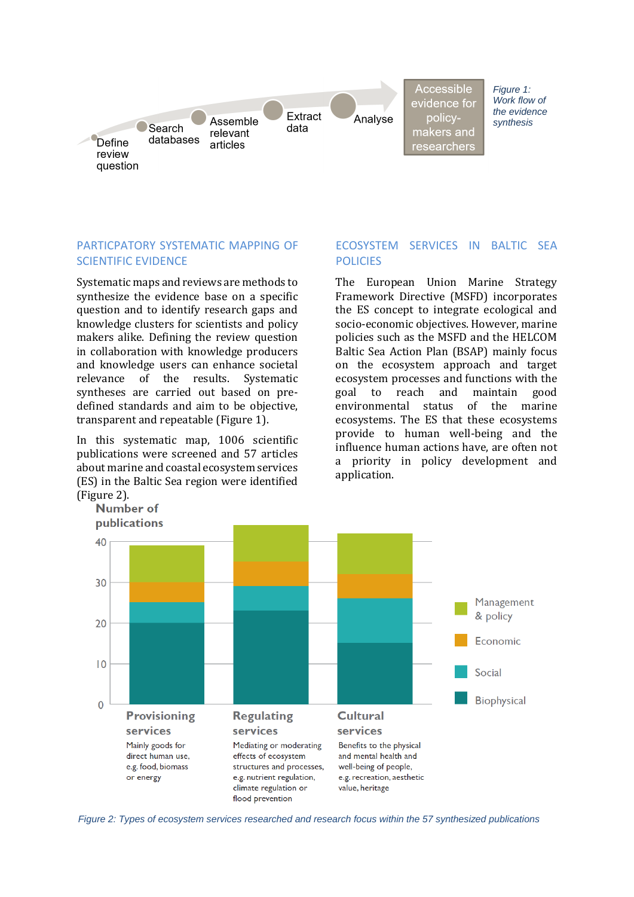

Accessible evidence for policymakers and researchers

*Figure 1: Work flow of the evidence synthesis*

# PARTICPATORY SYSTEMATIC MAPPING OF SCIENTIFIC EVIDENCE

Systematic maps and reviews are methods to synthesize the evidence base on a specific question and to identify research gaps and knowledge clusters for scientists and policy makers alike. Defining the review question in collaboration with knowledge producers and knowledge users can enhance societal relevance of the results. Systematic syntheses are carried out based on predefined standards and aim to be objective, transparent and repeatable (Figure 1).

In this systematic map, 1006 scientific publications were screened and 57 articles about marine and coastal ecosystem services (ES) in the Baltic Sea region were identified (Figure 2).

#### ECOSYSTEM SERVICES IN BALTIC SEA POLICIES

The European Union Marine Strategy Framework Directive (MSFD) incorporates the ES concept to integrate ecological and socio-economic objectives. However, marine policies such as the MSFD and the HELCOM Baltic Sea Action Plan (BSAP) mainly focus on the ecosystem approach and target ecosystem processes and functions with the goal to reach and maintain good environmental status of the marine ecosystems. The ES that these ecosystems provide to human well-being and the influence human actions have, are often not a priority in policy development and application.



*Figure 2: Types of ecosystem services researched and research focus within the 57 synthesized publications*